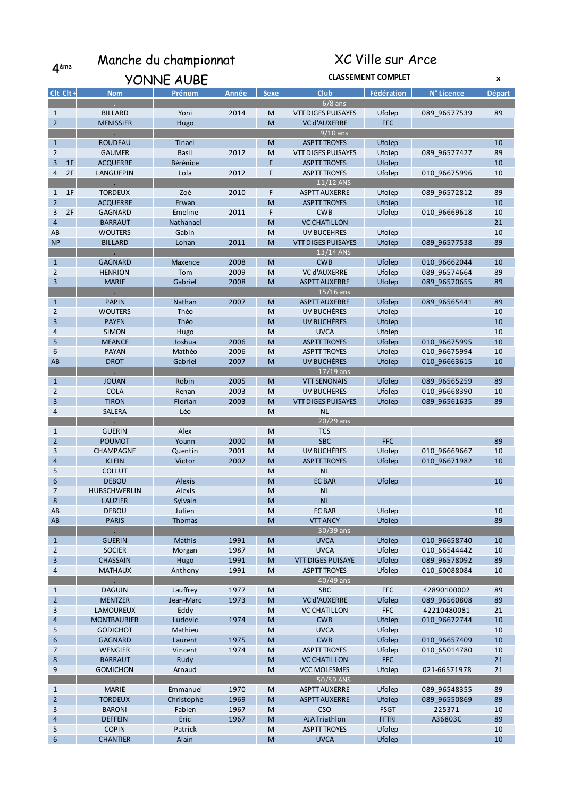4ème Manche du championnat

## XC Ville sur Arce

|                   |    |                     | YONNE AUBE | <b>CLASSEMENT COMPLET</b> |                                                                                                            |                                           |              |                              | X             |
|-------------------|----|---------------------|------------|---------------------------|------------------------------------------------------------------------------------------------------------|-------------------------------------------|--------------|------------------------------|---------------|
| $Clt$ $Clt +$     |    | <b>Nom</b>          | Prénom     | Année                     | <b>Sexe</b>                                                                                                | <b>Club</b>                               | Fédération   | N° Licence                   | <b>Départ</b> |
|                   |    |                     |            |                           |                                                                                                            | $6/8$ ans                                 |              |                              |               |
| 1                 |    | <b>BILLARD</b>      | Yoni       | 2014                      | M                                                                                                          | <b>VTT DIGES PUISAYES</b>                 | Ufolep       | 089_96577539                 | 89            |
| $\overline{2}$    |    | <b>MENISSIER</b>    | Hugo       |                           | M                                                                                                          | <b>VC d'AUXERRE</b>                       | <b>FFC</b>   |                              |               |
|                   |    |                     |            |                           |                                                                                                            | $9/10$ ans                                |              |                              |               |
| $\mathbf{1}$      |    | <b>ROUDEAU</b>      | Tinael     |                           | M                                                                                                          | <b>ASPTT TROYES</b>                       | Ufolep       |                              | 10            |
| $\overline{2}$    |    | <b>GAUMER</b>       | Basil      | 2012                      | M                                                                                                          | VTT DIGES PUISAYES                        | Ufolep       | 089_96577427                 | 89            |
| 3                 | 1F | <b>ACQUERRE</b>     | Bérénice   |                           | F                                                                                                          | <b>ASPTT TROYES</b>                       | Ufolep       |                              | 10            |
| 4                 | 2F | LANGUEPIN           | Lola       | 2012                      | F                                                                                                          | <b>ASPTT TROYES</b>                       | Ufolep       | 010_96675996                 | 10            |
|                   |    |                     |            |                           |                                                                                                            | $11/12$ ANS                               |              |                              |               |
| $\mathbf{1}$      | 1F | <b>TORDEUX</b>      | Zoé        | 2010                      | F                                                                                                          | <b>ASPTT AUXERRE</b>                      | Ufolep       | 089_96572812                 | 89            |
| 2 <sup>2</sup>    |    | <b>ACQUERRE</b>     | Erwan      |                           | M                                                                                                          | <b>ASPTT TROYES</b>                       | Ufolep       |                              | 10            |
| 3                 | 2F | <b>GAGNARD</b>      | Emeline    | 2011                      | F                                                                                                          | <b>CWB</b>                                | Ufolep       | 010 96669618                 | 10            |
| $\overline{4}$    |    | <b>BARRAUT</b>      | Nathanael  |                           | M                                                                                                          | <b>VC CHATILLON</b>                       |              |                              | 21            |
| AB                |    | <b>WOUTERS</b>      | Gabin      |                           | M                                                                                                          | <b>UV BUCEHRES</b>                        | Ufolep       |                              | 10            |
| <b>NP</b>         |    | <b>BILLARD</b>      | Lohan      | 2011                      | M                                                                                                          | <b>VTT DIGES PUISAYES</b>                 | Ufolep       | 089_96577538                 | 89            |
|                   |    |                     |            |                           |                                                                                                            | 13/14 ANS                                 |              |                              |               |
| $\mathbf{1}$      |    | <b>GAGNARD</b>      | Maxence    | 2008                      | M                                                                                                          | <b>CWB</b>                                | Ufolep       | 010_96662044                 | 10            |
| $\overline{2}$    |    | <b>HENRION</b>      | Tom        | 2009                      | M                                                                                                          | <b>VC d'AUXERRE</b>                       | Ufolep       | 089_96574664                 | 89            |
| 3                 |    | <b>MARIE</b>        | Gabriel    | 2008                      | M                                                                                                          | <b>ASPTT AUXERRE</b>                      | Ufolep       | 089_96570655                 | 89            |
|                   |    |                     |            |                           |                                                                                                            | $15/16$ ans                               |              |                              |               |
| $\mathbf{1}$      |    | <b>PAPIN</b>        | Nathan     | 2007                      | M                                                                                                          | <b>ASPTT AUXERRE</b>                      | Ufolep       | 089 96565441                 | 89            |
| 2                 |    | <b>WOUTERS</b>      | Théo       |                           | M                                                                                                          | UV BUCHÈRES                               | Ufolep       |                              | 10            |
| 3                 |    | <b>PAYEN</b>        | Théo       |                           | M                                                                                                          | UV BUCHÈRES                               | Ufolep       |                              | 10            |
| 4                 |    | <b>SIMON</b>        | Hugo       |                           | M                                                                                                          | <b>UVCA</b>                               | Ufolep       |                              | 10            |
| 5                 |    | <b>MEANCE</b>       | Joshua     | 2006                      | M                                                                                                          | <b>ASPTT TROYES</b>                       | Ufolep       | 010_96675995                 | 10            |
| 6                 |    | <b>PAYAN</b>        | Mathéo     | 2006                      | M                                                                                                          | <b>ASPTT TROYES</b>                       | Ufolep       | 010 96675994                 | 10            |
| AB                |    | <b>DROT</b>         | Gabriel    | 2007                      | M                                                                                                          | UV BUCHÈRES                               | Ufolep       | 010_96663615                 | 10            |
|                   |    | <b>JOUAN</b>        | Robin      | 2005                      |                                                                                                            | $17/19$ ans                               | Ufolep       |                              | 89            |
| $\mathbf{1}$<br>2 |    | <b>COLA</b>         | Renan      | 2003                      | M<br>M                                                                                                     | <b>VTT SENONAIS</b><br><b>UV BUCHERES</b> | Ufolep       | 089_96565259                 | 10            |
| 3                 |    | <b>TIRON</b>        | Florian    | 2003                      | M                                                                                                          | <b>VTT DIGES PUISAYES</b>                 | Ufolep       | 010_96668390<br>089_96561635 | 89            |
| 4                 |    | SALERA              | Léo        |                           | M                                                                                                          | <b>NL</b>                                 |              |                              |               |
|                   |    |                     |            |                           |                                                                                                            | $20/29$ ans                               |              |                              |               |
| $\mathbf{1}$      |    | <b>GUERIN</b>       | Alex       |                           | M                                                                                                          | <b>TCS</b>                                |              |                              |               |
| $\overline{2}$    |    | <b>POUMOT</b>       | Yoann      | 2000                      | M                                                                                                          | <b>SBC</b>                                | <b>FFC</b>   |                              | 89            |
| 3                 |    | CHAMPAGNE           | Quentin    | 2001                      | M                                                                                                          | UV BUCHÈRES                               | Ufolep       | 010_96669667                 | 10            |
| $\overline{4}$    |    | <b>KLEIN</b>        | Victor     | 2002                      | M                                                                                                          | <b>ASPTT TROYES</b>                       | Ufolep       | 010 96671982                 | 10            |
| 5                 |    | <b>COLLUT</b>       |            |                           | M                                                                                                          | <b>NL</b>                                 |              |                              |               |
| 6                 |    | <b>DEBOU</b>        | Alexis     |                           | M                                                                                                          | <b>EC BAR</b>                             | Ufolep       |                              | 10            |
| $\overline{7}$    |    | <b>HUBSCHWERLIN</b> | Alexis     |                           | M                                                                                                          | <b>NL</b>                                 |              |                              |               |
| 8                 |    | LAUZIER             | Sylvain    |                           | M                                                                                                          | NL.                                       |              |                              |               |
| AB                |    | <b>DEBOU</b>        | Julien     |                           | M                                                                                                          | <b>EC BAR</b>                             | Ufolep       |                              | 10            |
| AB                |    | <b>PARIS</b>        | Thomas     |                           | M                                                                                                          | <b>VTT ANCY</b>                           | Ufolep       |                              | 89            |
|                   |    |                     |            |                           |                                                                                                            | $30/39$ ans                               |              |                              |               |
| $\mathbf{1}$      |    | <b>GUERIN</b>       | Mathis     | 1991                      | M                                                                                                          | <b>UVCA</b>                               | Ufolep       | 010 96658740                 | 10            |
| $\overline{2}$    |    | <b>SOCIER</b>       | Morgan     | 1987                      | ${\sf M}$                                                                                                  | <b>UVCA</b>                               | Ufolep       | 010 66544442                 | 10            |
| $\overline{3}$    |    | <b>CHASSAIN</b>     | Hugo       | 1991                      | M                                                                                                          | <b>VTT DIGES PUISAYE</b>                  | Ufolep       | 089 96578092                 | 89            |
| 4                 |    | <b>MATHAUX</b>      | Anthony    | 1991                      | M                                                                                                          | <b>ASPTT TROYES</b>                       | Ufolep       | 010 60088084                 | 10            |
|                   |    |                     |            |                           |                                                                                                            | $40/49$ ans                               |              |                              |               |
| $\mathbf{1}$      |    | <b>DAGUIN</b>       | Jauffrey   | 1977                      | M                                                                                                          | <b>SBC</b>                                | <b>FFC</b>   | 42890100002                  | 89            |
| 2 <sup>7</sup>    |    | <b>MENTZER</b>      | Jean-Marc  | 1973                      | $\mathsf{M}% _{T}=\mathsf{M}_{T}\!\left( a,b\right) ,\ \mathsf{M}_{T}=\mathsf{M}_{T}\!\left( a,b\right) ,$ | <b>VC d'AUXERRE</b>                       | Ufolep       | 089 96560808                 | 89            |
| 3                 |    | LAMOUREUX           | Eddy       |                           | M                                                                                                          | <b>VC CHATILLON</b>                       | <b>FFC</b>   | 42210480081                  | 21            |
| $\overline{4}$    |    | <b>MONTBAUBIER</b>  | Ludovic    | 1974                      | M                                                                                                          | <b>CWB</b>                                | Ufolep       | 010 96672744                 | 10            |
| 5                 |    | <b>GODICHOT</b>     | Mathieu    |                           | M                                                                                                          | <b>UVCA</b>                               | Ufolep       |                              | 10            |
| 6                 |    | <b>GAGNARD</b>      | Laurent    | 1975                      | M                                                                                                          | CWB                                       | Ufolep       | 010 96657409                 | 10            |
| 7                 |    | WENGIER             | Vincent    | 1974                      | M                                                                                                          | <b>ASPTT TROYES</b>                       | Ufolep       | 010 65014780                 | 10            |
| 8                 |    | <b>BARRAUT</b>      | Rudy       |                           | M                                                                                                          | <b>VC CHATILLON</b>                       | <b>FFC</b>   |                              | 21            |
| 9                 |    | <b>GOMICHON</b>     | Arnaud     |                           | M                                                                                                          | <b>VCC MOLESMES</b>                       | Ufolep       | 021-66571978                 | 21            |
|                   |    |                     |            |                           |                                                                                                            | 50/59 ANS                                 |              |                              |               |
| $\mathbf{1}$      |    | <b>MARIE</b>        | Emmanuel   | 1970                      | M                                                                                                          | <b>ASPTT AUXERRE</b>                      | Ufolep       | 089_96548355                 | 89            |
| 2 <sup>7</sup>    |    | <b>TORDEUX</b>      | Christophe | 1969                      | M                                                                                                          | <b>ASPTT AUXERRE</b>                      | Ufolep       | 089_96550869                 | 89            |
| 3                 |    | <b>BARONI</b>       | Fabien     | 1967                      | ${\sf M}$                                                                                                  | <b>CSO</b>                                | <b>FSGT</b>  | 225371                       | 10            |
| 4                 |    | <b>DEFFEIN</b>      | Eric       | 1967                      | M                                                                                                          | <b>AJA Triathlon</b>                      | <b>FFTRI</b> | A36803C                      | 89            |
| 5                 |    | <b>COPIN</b>        | Patrick    |                           | M                                                                                                          | <b>ASPTT TROYES</b>                       | Ufolep       |                              | 10            |
| 6 <sup>1</sup>    |    | <b>CHANTIER</b>     | Alain      |                           | M                                                                                                          | <b>UVCA</b>                               | Ufolep       |                              | 10            |